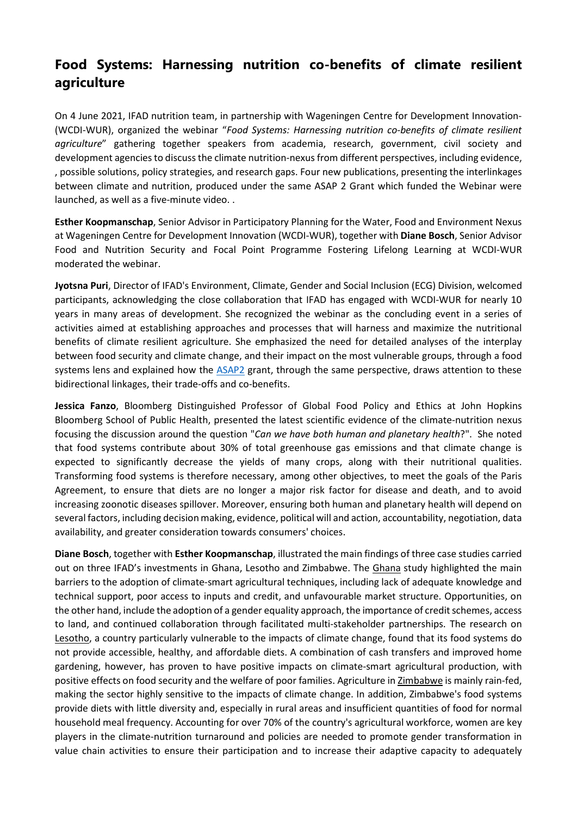## Food Systems: Harnessing nutrition co-benefits of climate resilient agriculture

On 4 June 2021, IFAD nutrition team, in partnership with Wageningen Centre for Development Innovation- (WCDI-WUR), organized the webinar "Food Systems: Harnessing nutrition co-benefits of climate resilient agriculture" gathering together speakers from academia, research, government, civil society and development agencies to discuss the climate nutrition-nexus from different perspectives, including evidence, , possible solutions, policy strategies, and research gaps. Four new publications, presenting the interlinkages between climate and nutrition, produced under the same ASAP 2 Grant which funded the Webinar were launched, as well as a five-minute video. .

Esther Koopmanschap, Senior Advisor in Participatory Planning for the Water, Food and Environment Nexus at Wageningen Centre for Development Innovation (WCDI-WUR), together with Diane Bosch, Senior Advisor Food and Nutrition Security and Focal Point Programme Fostering Lifelong Learning at WCDI-WUR moderated the webinar.

Jyotsna Puri, Director of IFAD's Environment, Climate, Gender and Social Inclusion (ECG) Division, welcomed participants, acknowledging the close collaboration that IFAD has engaged with WCDI-WUR for nearly 10 years in many areas of development. She recognized the webinar as the concluding event in a series of activities aimed at establishing approaches and processes that will harness and maximize the nutritional benefits of climate resilient agriculture. She emphasized the need for detailed analyses of the interplay between food security and climate change, and their impact on the most vulnerable groups, through a food systems lens and explained how the ASAP2 grant, through the same perspective, draws attention to these bidirectional linkages, their trade-offs and co-benefits.

Jessica Fanzo, Bloomberg Distinguished Professor of Global Food Policy and Ethics at John Hopkins Bloomberg School of Public Health, presented the latest scientific evidence of the climate-nutrition nexus focusing the discussion around the question "Can we have both human and planetary health?". She noted that food systems contribute about 30% of total greenhouse gas emissions and that climate change is expected to significantly decrease the yields of many crops, along with their nutritional qualities. Transforming food systems is therefore necessary, among other objectives, to meet the goals of the Paris Agreement, to ensure that diets are no longer a major risk factor for disease and death, and to avoid increasing zoonotic diseases spillover. Moreover, ensuring both human and planetary health will depend on several factors, including decision making, evidence, political will and action, accountability, negotiation, data availability, and greater consideration towards consumers' choices.

Diane Bosch, together with Esther Koopmanschap, illustrated the main findings of three case studies carried out on three IFAD's investments in Ghana, Lesotho and Zimbabwe. The Ghana study highlighted the main barriers to the adoption of climate-smart agricultural techniques, including lack of adequate knowledge and technical support, poor access to inputs and credit, and unfavourable market structure. Opportunities, on the other hand, include the adoption of a gender equality approach, the importance of credit schemes, access to land, and continued collaboration through facilitated multi-stakeholder partnerships. The research on Lesotho, a country particularly vulnerable to the impacts of climate change, found that its food systems do not provide accessible, healthy, and affordable diets. A combination of cash transfers and improved home gardening, however, has proven to have positive impacts on climate-smart agricultural production, with positive effects on food security and the welfare of poor families. Agriculture in Zimbabwe is mainly rain-fed, making the sector highly sensitive to the impacts of climate change. In addition, Zimbabwe's food systems provide diets with little diversity and, especially in rural areas and insufficient quantities of food for normal household meal frequency. Accounting for over 70% of the country's agricultural workforce, women are key players in the climate-nutrition turnaround and policies are needed to promote gender transformation in value chain activities to ensure their participation and to increase their adaptive capacity to adequately